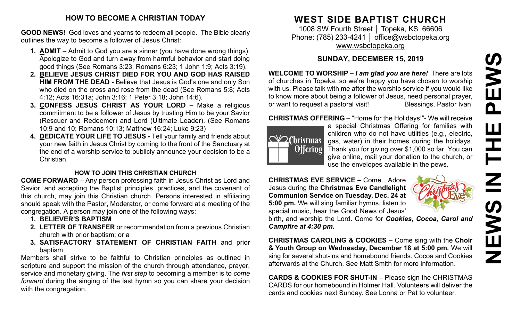#### **HOW TO BECOME A CHRISTIAN TODAY**

**GOOD NEWS!** God loves and yearns to redeem all people. The Bible clearly outlines the way to become a follower of Jesus Christ:

- **1. ADMIT** Admit to God you are a sinner (you have done wrong things). Apologize to God and turn away from harmful behavior and start doing good things (See Romans 3:23; Romans 6:23; 1 John 1:9; Acts 3:19).
- **2. BELIEVE JESUS CHRIST DIED FOR YOU AND GOD HAS RAISED HIM FROM THE DEAD -** Believe that Jesus is God's one and only Son who died on the cross and rose from the dead (See Romans 5:8; Acts 4:12; Acts 16:31a; John 3:16; 1 Peter 3:18; John 14:6).
- **3. CONFESS JESUS CHRIST AS YOUR LORD –** Make a religious commitment to be a follower of Jesus by trusting Him to be your Savior (Rescuer and Redeemer) and Lord (Ultimate Leader). (See Romans 10:9 and 10; Romans 10:13; Matthew 16:24; Luke 9:23)
- **4. DEDICATE YOUR LIFE TO JESUS -** Tell your family and friends about your new faith in Jesus Christ by coming to the front of the Sanctuary at the end of a worship service to publicly announce your decision to be a Christian.

#### **HOW TO JOIN THIS CHRISTIAN CHURCH**

**COME FORWARD** – Any person professing faith in Jesus Christ as Lord and Savior, and accepting the Baptist principles, practices, and the covenant of this church, may join this Christian church. Persons interested in affiliating should speak with the Pastor, Moderator, or come forward at a meeting of the congregation. A person may join one of the following ways:

- **1. BELIEVER'S BAPTISM**
- **2. LETTER OF TRANSFER** or recommendation from a previous Christian church with prior baptism; or a
- **3. SATISFACTORY STATEMENT OF CHRISTIAN FAITH** and prior baptism

Members shall strive to be faithful to Christian principles as outlined in scripture and support the mission of the church through attendance, prayer, service and monetary giving. The *first step* to becoming a member is to *come forward* during the singing of the last hymn so you can share your decision with the congregation.

# **WEST SIDE BAPTIST CHURCH**

1008 SW Fourth Street │ Topeka, KS 66606 Phone: (785) 233-4241 │ [office@wsbctopeka.org](mailto:office@wsbctopeka.org) [www.wsbctopeka.org](http://www.wsbctopeka.org/)

# **SUNDAY, DECEMBER 15, 2019**

**WELCOME TO WORSHIP –** *I am glad you are here!* There are lots of churches in Topeka, so we're happy you have chosen to worship with us. Please talk with me after the worship service if you would like to know more about being a follower of Jesus, need personal prayer, or want to request a pastoral visit!<br>
Blessings, Pastor Ivan

#### **CHRISTMAS OFFERING** – "Home for the Holidays!"- We will receive



a special Christmas Offering for families with children who do not have utilities (e.g., electric, gas, water) in their homes during the holidays. Thank you for giving over \$1,000 so far. You can give online, mail your donation to the church, or use the envelopes available in the pews.

**CHRISTMAS EVE SERVICE –** Come…Adore Jesus during the **Christmas Eve Candlelight Communion Service on Tuesday, Dec. 24 at 5:00 pm.** We will sing familiar hymns, listen to special music, hear the Good News of Jesus'



birth, and worship the Lord. Come for *Cookies, Cocoa, Carol and Campfire at 4:30 pm.*

**CHRISTMAS CAROLING & COOKIES –** Come sing with the **Choir & Youth Group on Wednesday, December 18 at 5:00 pm.** We will sing for several shut-ins and homebound friends. Cocoa and Cookies afterwards at the Church. See Matt Smith for more information.

**CARDS & COOKIES FOR SHUT-IN –** Please sign the CHRISTMAS CARDS for our homebound in Holmer Hall. Volunteers will deliver the cards and cookies next Sunday. See Lonna or Pat to volunteer.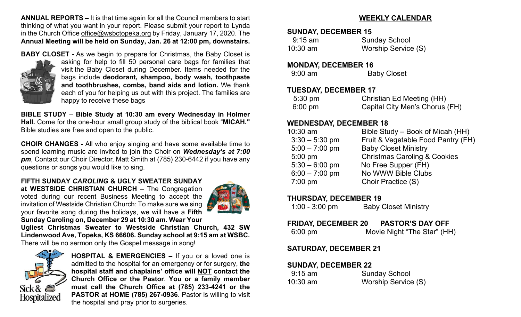**ANNUAL REPORTS –** It is that time again for all the Council members to start thinking of what you want in your report. Please submit your report to Lynda in the Church Office [office@wsbctopeka.org](mailto:office@wsbctopeka.org) by Friday, January 17, 2020. The **Annual Meeting will be held on Sunday, Jan. 26 at 12:00 pm, downstairs.** 

**BABY CLOSET -** As we begin to prepare for Christmas, the Baby Closet is



asking for help to fill 50 personal care bags for families that visit the Baby Closet during December. Items needed for the bags include **deodorant, shampoo, body wash, toothpaste and toothbrushes, combs, band aids and lotion.** We thank each of you for helping us out with this project. The families are happy to receive these bags

**BIBLE STUDY** – **Bible Study at 10:30 am every Wednesday in Holmer Hall.** Come for the one-hour small group study of the biblical book "**MICAH."** Bible studies are free and open to the public.

**CHOIR CHANGES -** All who enjoy singing and have some available time to spend learning music are invited to join the Choir on *Wednesday's at 7:00 pm*, Contact our Choir Director, Matt Smith at (785) 230-6442 if you have any questions or songs you would like to sing.

**FIFTH SUNDAY** *CAROLING* **& UGLY SWEATER SUNDAY at WESTSIDE CHRISTIAN CHURCH** – The Congregation voted during our recent Business Meeting to accept the

invitation of Westside Christian Church: To make sure we sing your favorite song during the holidays, we will have a **Fifth Sunday Caroling on, December 29 at 10:30 am. Wear Your** 



**Ugliest Christmas Sweater to Westside Christian Church, 432 SW Lindenwood Ave, Topeka, KS 66606. Sunday school at 9:15 [am at](https://creativecommons.org/licenses/by/3.0/) WSBC.**  There will be no sermon only the Gospel message in song!



**HOSPITAL & EMERGENCIES –** If you or a loved one is admitted to the hospital for an emergency or for surgery, **the hospital staff and chaplains' office will NOT contact the Church Office or the Pastor**. **You or a family member must call the Church Office at (785) 233-4241 or the PASTOR at HOME (785) 267-0936**. Pastor is willing to visit the hospital and pray prior to surgeries.

# **WEEKLY CALENDAR**

### **SUNDAY, DECEMBER 15**

| $9:15$ am  | <b>Sunday School</b> |
|------------|----------------------|
| $10:30$ am | Worship Service (S)  |

#### **MONDAY, DECEMBER 16**

| $9:00$ am | <b>Baby Closet</b> |
|-----------|--------------------|
|-----------|--------------------|

## **TUESDAY, DECEMBER 17**

| $5:30 \text{ pm}$ | Christian Ed Meeting (HH)      |
|-------------------|--------------------------------|
| $6:00 \text{ pm}$ | Capital City Men's Chorus (FH) |

# **WEDNESDAY, DECEMBER 18**

| $10:30$ am       | Bible Study – Book of Micah (HH)        |
|------------------|-----------------------------------------|
| $3:30 - 5:30$ pm | Fruit & Vegetable Food Pantry (FH)      |
| $5:00 - 7:00$ pm | <b>Baby Closet Ministry</b>             |
| $5:00$ pm        | <b>Christmas Caroling &amp; Cookies</b> |
| $5:30 - 6:00$ pm | No Free Supper (FH)                     |
| $6:00 - 7:00$ pm | No WWW Bible Clubs                      |
| $7:00$ pm        | Choir Practice (S)                      |
|                  |                                         |

## **THURSDAY, DECEMBER 19**

| $1:00 - 3:00$ pm | <b>Baby Closet Ministry</b> |
|------------------|-----------------------------|
|------------------|-----------------------------|

# **FRIDAY, DECEMBER 20 PASTOR'S DAY OFF**

| 6:00 pm | Movie Night "The Star" (HH) |  |
|---------|-----------------------------|--|
|---------|-----------------------------|--|

# **SATURDAY, DECEMBER 21**

## **SUNDAY, DECEMBER 22**

| $9:15 \text{ am}$ | <b>Sunday School</b> |  |  |
|-------------------|----------------------|--|--|
| $10:30$ am        | Worship Service (S)  |  |  |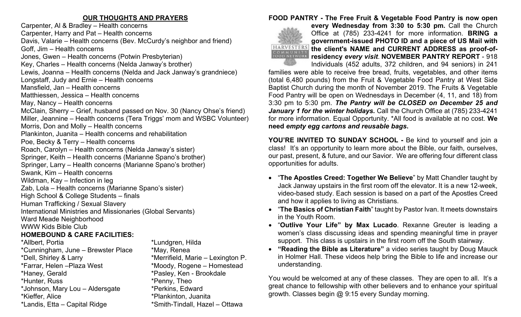### **OUR THOUGHTS AND PRAYERS**

Carpenter, Al & Bradley – Health concerns Carpenter, Harry and Pat – Health concerns Davis, Valarie – Health concerns (Bev. McCurdy's neighbor and friend) Goff, Jim – Health concerns Jones, Gwen – Health concerns (Potwin Presbyterian) Key, Charles – Health concerns (Nelda Janway's brother) Lewis, Joanna – Health concerns (Nelda and Jack Janway's grandniece) Longstaff, Judy and Ernie – Health concerns Mansfield, Jan – Health concerns Matthiessen, Jessica – Health concerns May, Nancy – Health concerns McClain, Sherry – Grief, husband passed on Nov. 30 (Nancy Ohse's friend) Miller, Jeannine – Health concerns (Tera Triggs' mom and WSBC Volunteer) Morris, Don and Molly – Health concerns Plankinton, Juanita – Health concerns and rehabilitation Poe, Becky & Terry – Health concerns Roach, Carolyn – Health concerns (Nelda Janway's sister) Springer, Keith – Health concerns (Marianne Spano's brother) Springer, Larry – Health concerns (Marianne Spano's brother) Swank, Kim – Health concerns Wildman, Kay – Infection in leg Zab, Lola – Health concerns (Marianne Spano's sister) High School & College Students – finals Human Trafficking / Sexual Slavery International Ministries and Missionaries (Global Servants) Ward Meade Neighborhood WWW Kids Bible Club **HOMEBOUND & CARE FACILITIES:**  \*Allbert, Portia<br>\*Cunningham, June – Brewster Place \*May, Renea  $*$ Cunningham, June – Brewster Place \*Dell, Shirley & Larry \*Merrifield, Marie – Lexington P. \*Farrar, Helen –Plaza West \*Moody, Rogene – Homestead \*Haney, Gerald \*Pasley, Ken - Brookdale \*Hunter, Russ \*Penny, Theo \*Johnson, Mary Lou – Aldersgate \*Perkins, Edward \*Kieffer, Alice \*Plankinton, Juanita \*Landis, Etta – Capital Ridge \*Smith-Tindall, Hazel – Ottawa

#### **FOOD PANTRY - The Free Fruit & Vegetable Food Pantry is now open**



**every Wednesday from 3:30 to 5:30 pm.** Call the Church Office at (785) 233-4241 for more information. **BRING a government-issued PHOTO ID and a piece of US Mail with the client's NAME and CURRENT ADDRESS as proof-ofresidency** *every visit*. **NOVEMBER PANTRY REPORT** - 918 Individuals (452 adults, 372 children, and 94 seniors) in 241

families were able to receive free bread, fruits, vegetables, and other items (total 6,480 pounds) from the Fruit & Vegetable Food Pantry at West Side Baptist Church during the month of November 2019. The Fruits & Vegetable Food Pantry will be open on Wednesdays in December (4, 11, and 18) from 3:30 pm to 5:30 pm. *The Pantry will be CLOSED on December 25 and January 1 for the winter holidays.* Call the Church Office at (785) 233-4241 for more information. Equal Opportunity. \*All food is available at no cost. **We need** *empty egg cartons and reusable bags***.** 

**YOU'RE INVITED TO SUNDAY SCHOOL -** Be kind to yourself and join a class! It's an opportunity to learn more about the Bible, our faith, ourselves, our past, present, & future, and our Savior. We are offering four different class opportunities for adults.

- "**The Apostles Creed: Together We Believe**" by Matt Chandler taught by Jack Janway upstairs in the first room off the elevator. It is a new 12-week, video-based study. Each session is based on a part of the Apostles Creed and how it applies to living as Christians.
- "**The Basics of Christian Faith**" taught by Pastor Ivan. It meets downstairs in the Youth Room.
- "**Outlive Your Life" by Max Lucado**. Rexanne Greuter is leading a women's class discussing ideas and spending meaningful time in prayer support. This class is upstairs in the first room off the South stairway.
- **"Reading the Bible as Literature"** a video series taught by Doug Mauck in Holmer Hall. These videos help bring the Bible to life and increase our understanding.

You would be welcomed at any of these classes. They are open to all. It's a great chance to fellowship with other believers and to enhance your spiritual growth. Classes begin @ 9:15 every Sunday morning.